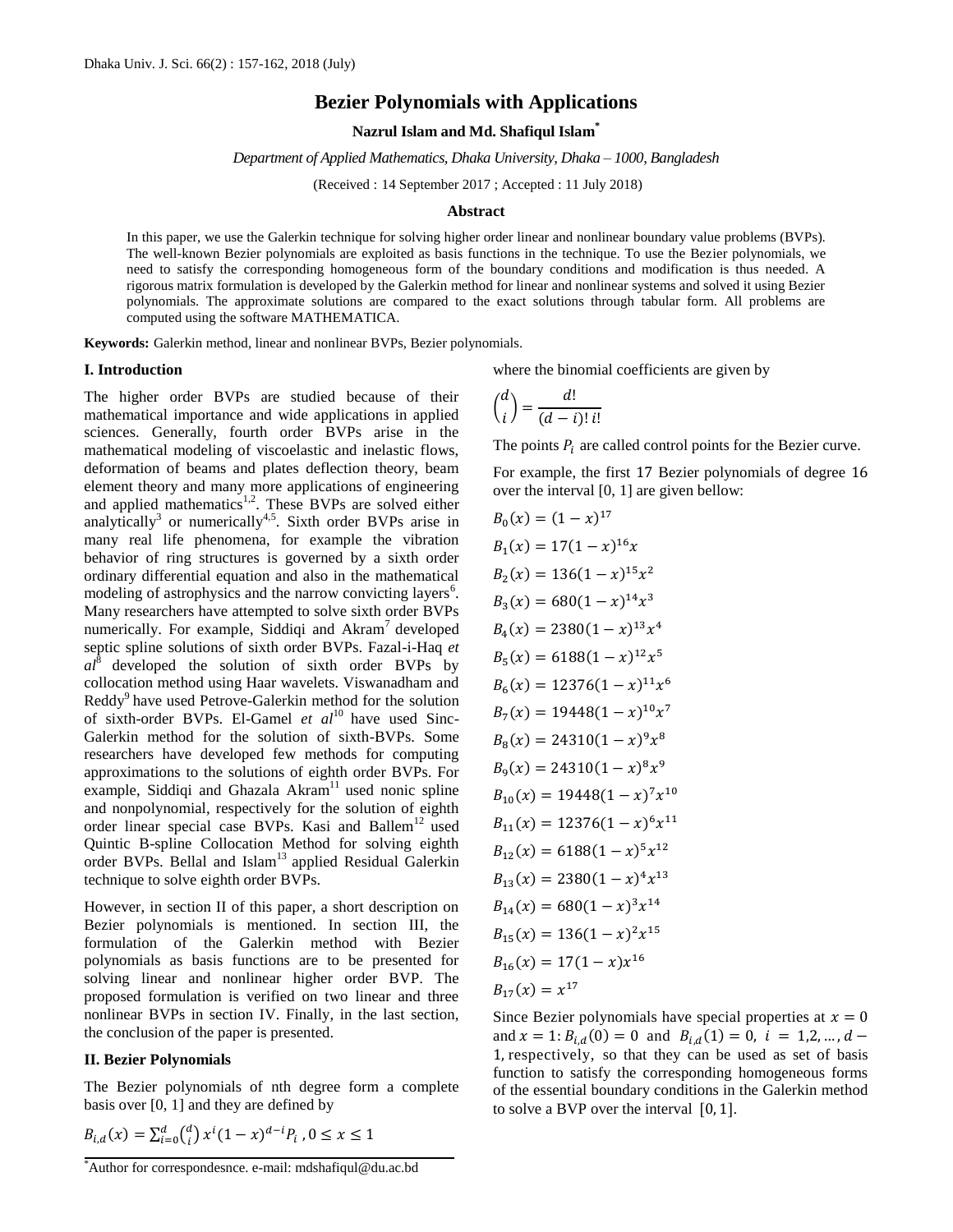# **Bezier Polynomials with Applications**

**Nazrul Islam and Md. Shafiqul Islam\***

*Department of Applied Mathematics, Dhaka University, Dhaka – 1000, Bangladesh*

(Received : 14 September 2017 ; Accepted : 11 July 2018)

#### **Abstract**

In this paper, we use the Galerkin technique for solving higher order linear and nonlinear boundary value problems (BVPs). The well-known Bezier polynomials are exploited as basis functions in the technique. To use the Bezier polynomials, we need to satisfy the corresponding homogeneous form of the boundary conditions and modification is thus needed. A rigorous matrix formulation is developed by the Galerkin method for linear and nonlinear systems and solved it using Bezier polynomials. The approximate solutions are compared to the exact solutions through tabular form. All problems are computed using the software MATHEMATICA.

**Keywords:** Galerkin method, linear and nonlinear BVPs, Bezier polynomials.

#### **I. Introduction**

The higher order BVPs are studied because of their mathematical importance and wide applications in applied sciences. Generally, fourth order BVPs arise in the mathematical modeling of viscoelastic and inelastic flows, deformation of beams and plates deflection theory, beam element theory and many more applications of engineering and applied mathematics<sup>1,2</sup>. These BVPs are solved either analytically<sup>3</sup> or numerically<sup>4,5</sup>. Sixth order BVPs arise in many real life phenomena, for example the vibration behavior of ring structures is governed by a sixth order ordinary differential equation and also in the mathematical modeling of astrophysics and the narrow convicting layers<sup>6</sup>. Many researchers have attempted to solve sixth order BVPs numerically. For example, Siddiqi and Akram<sup>7</sup> developed septic spline solutions of sixth order BVPs. Fazal-i-Haq *et*   $al^8$  developed the solution of sixth order BVPs by collocation method using Haar wavelets. Viswanadham and Reddy<sup>9</sup> have used Petrove-Galerkin method for the solution of sixth-order BVPs. El-Gamel *et al*<sup>10</sup> have used Sinc-Galerkin method for the solution of sixth-BVPs. Some researchers have developed few methods for computing approximations to the solutions of eighth order BVPs. For example, Siddiqi and Ghazala Akram<sup>11</sup> used nonic spline and nonpolynomial, respectively for the solution of eighth order linear special case BVPs. Kasi and Ballem<sup>12</sup> used Quintic B-spline Collocation Method for solving eighth order BVPs. Bellal and Islam<sup>13</sup> applied Residual Galerkin technique to solve eighth order BVPs.

However, in section II of this paper, a short description on Bezier polynomials is mentioned. In section III, the formulation of the Galerkin method with Bezier polynomials as basis functions are to be presented for solving linear and nonlinear higher order BVP. The proposed formulation is verified on two linear and three nonlinear BVPs in section IV. Finally, in the last section, the conclusion of the paper is presented.

## **II. Bezier Polynomials**

The Bezier polynomials of nth degree form a complete basis over [0, 1] and they are defined by

$$
B_{i,d}(x) = \sum_{i=0}^{d} {d \choose i} x^{i} (1-x)^{d-i} P_i, 0 \le x \le 1
$$

$$
\binom{d}{i} = \frac{d!}{(d-i)! \, i!}
$$

The points  $P_i$  are called control points for the Bezier curve.

For example, the first 17 Bezier polynomials of degree 16 over the interval [0, 1] are given bellow:

$$
B_0(x) = (1 - x)^{17}
$$
  
\n
$$
B_1(x) = 17(1 - x)^{16}x
$$
  
\n
$$
B_2(x) = 136(1 - x)^{15}x^2
$$
  
\n
$$
B_3(x) = 680(1 - x)^{14}x^3
$$
  
\n
$$
B_4(x) = 2380(1 - x)^{13}x^4
$$
  
\n
$$
B_5(x) = 6188(1 - x)^{12}x^5
$$
  
\n
$$
B_6(x) = 12376(1 - x)^{11}x^6
$$
  
\n
$$
B_7(x) = 19448(1 - x)^{10}x^7
$$
  
\n
$$
B_8(x) = 24310(1 - x)^9x^8
$$
  
\n
$$
B_9(x) = 24310(1 - x)^9x^9
$$
  
\n
$$
B_{10}(x) = 19448(1 - x)^7x^{10}
$$
  
\n
$$
B_{11}(x) = 12376(1 - x)^6x^{11}
$$
  
\n
$$
B_{12}(x) = 6188(1 - x)^5x^{12}
$$
  
\n
$$
B_{13}(x) = 2380(1 - x)^4x^{13}
$$
  
\n
$$
B_{14}(x) = 680(1 - x)^3x^{14}
$$
  
\n
$$
B_{15}(x) = 136(1 - x)^2x^{15}
$$
  
\n
$$
B_{16}(x) = 17(1 - x)x^{16}
$$

Since Bezier polynomials have special properties at  $x = 0$ and  $x = 1$ :  $B_{i,d}(0) = 0$  and  $B_{i,d}(1) =$ 1, respectively, so that they can be used as set of basis function to satisfy the corresponding homogeneous forms of the essential boundary conditions in the Galerkin method to solve a BVP over the interval  $[0, 1]$ .

where the binomial coefficients are given by

<sup>\*</sup>Author for correspondesnce. e-mail: mdshafiqul@du.ac.bd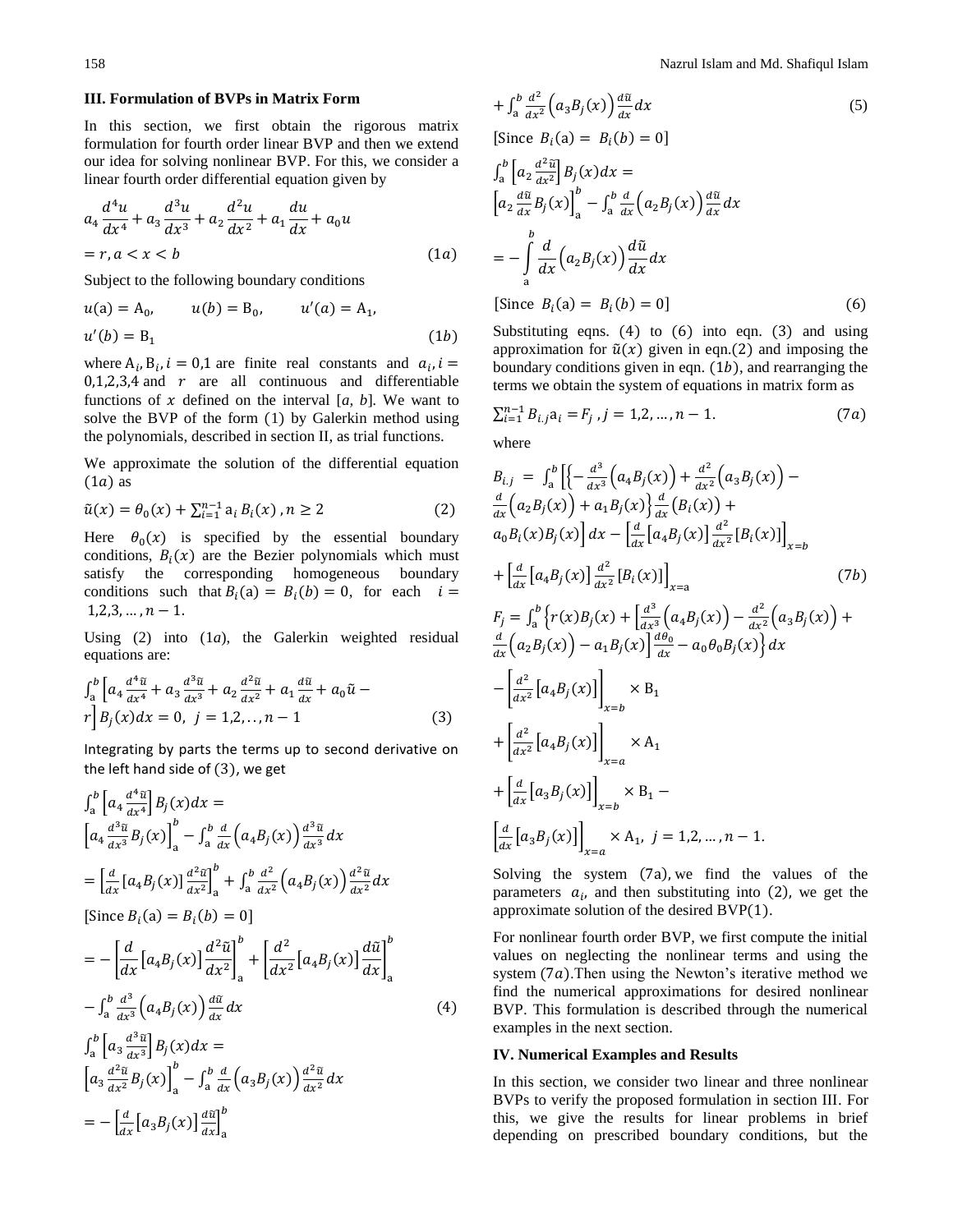#### **III. Formulation of BVPs in Matrix Form**

In this section, we first obtain the rigorous matrix formulation for fourth order linear BVP and then we extend our idea for solving nonlinear BVP. For this, we consider a linear fourth order differential equation given by

$$
a_4 \frac{d^4 u}{dx^4} + a_3 \frac{d^3 u}{dx^3} + a_2 \frac{d^2 u}{dx^2} + a_1 \frac{du}{dx} + a_0 u
$$
  
= r, a < x < b   
(1a)

Subject to the following boundary conditions

$$
u(a) = A_0,
$$
  $u(b) = B_0,$   $u'(a) = A_1,$   
\n $u'(b) = B_1$  (1b)

where  $A_i$ ,  $B_i$ ,  $i = 0,1$  are finite real constants and  $a_i$ ,  $0,1,2,3,4$  and r are all continuous and differentiable functions of  $x$  defined on the interval  $[a, b]$ . We want to solve the BVP of the form (1) by Galerkin method using the polynomials, described in section II, as trial functions.

We approximate the solution of the differential equation  $(1a)$  as

$$
\tilde{u}(x) = \theta_0(x) + \sum_{i=1}^{n-1} a_i B_i(x), n \ge 2
$$
\n(2)

Here  $\theta_0(x)$  is specified by the essential boundary conditions,  $B_i(x)$  are the Bezier polynomials which must satisfy the corresponding homogeneous boundary conditions such that  $B_i(a) = B_i(b) = 0$ , for each i  $1,2,3,\ldots,n-1.$ 

Using (2) into (1*a*), the Galerkin weighted residual equations are:

$$
\int_{a}^{b} \left[ a_{4} \frac{d^{4} \tilde{u}}{dx^{4}} + a_{3} \frac{d^{3} \tilde{u}}{dx^{3}} + a_{2} \frac{d^{2} \tilde{u}}{dx^{2}} + a_{1} \frac{d \tilde{u}}{dx} + a_{0} \tilde{u} - r \right] B_{j}(x) dx = 0, \quad j = 1, 2, ..., n - 1
$$
 (3)

Integrating by parts the terms up to second derivative on the left hand side of  $(3)$ , we get

$$
\int_{a}^{b} \left[ a_{4} \frac{d^{4} \tilde{u}}{dx^{4}} \right] B_{j}(x) dx =
$$
\n
$$
\left[ a_{4} \frac{d^{3} \tilde{u}}{dx^{3}} B_{j}(x) \right]_{a}^{b} - \int_{a}^{b} \frac{d}{dx} \left( a_{4} B_{j}(x) \right) \frac{d^{3} \tilde{u}}{dx^{3}} dx
$$
\n
$$
= \left[ \frac{d}{dx} \left[ a_{4} B_{j}(x) \right] \frac{d^{2} \tilde{u}}{dx^{2}} \right]_{a}^{b} + \int_{a}^{b} \frac{d^{2}}{dx^{2}} \left( a_{4} B_{j}(x) \right) \frac{d^{2} \tilde{u}}{dx^{2}} dx
$$
\n[Since  $B_{i}(a) = B_{i}(b) = 0$ ]  
\n
$$
= - \left[ \frac{d}{dx} \left[ a_{4} B_{j}(x) \right] \frac{d^{2} \tilde{u}}{dx^{2}} \right]_{a}^{b} + \left[ \frac{d^{2}}{dx^{2}} \left[ a_{4} B_{j}(x) \right] \frac{d \tilde{u}}{dx} \right]_{a}^{b}
$$
\n
$$
- \int_{a}^{b} \frac{d^{3}}{dx^{3}} \left( a_{4} B_{j}(x) \right) \frac{d \tilde{u}}{dx} dx \qquad (4)
$$
\n
$$
\int_{a}^{b} \left[ a_{3} \frac{d^{3} \tilde{u}}{dx^{2}} B_{j}(x) \right]_{a}^{b} - \int_{a}^{b} \frac{d}{dx} \left( a_{3} B_{j}(x) \right) \frac{d^{2} \tilde{u}}{dx^{2}} dx
$$
\n
$$
= - \left[ \frac{d}{dx} \left[ a_{3} B_{j}(x) \right] \frac{d \tilde{u}}{dx} \right]_{a}^{b}
$$

$$
+\int_{a}^{b} \frac{d^{2}}{dx^{2}} \Big(a_{3}B_{j}(x)\Big) \frac{d\tilde{u}}{dx} dx \tag{5}
$$

[Since  $B_i(a) = B_i(b) =$ 

$$
\int_{a}^{b} \left[ a_{2} \frac{d^{2} \tilde{u}}{dx^{2}} \right] B_{j}(x) dx =
$$
\n
$$
\left[ a_{2} \frac{d \tilde{u}}{dx} B_{j}(x) \right]_{a}^{b} - \int_{a}^{b} \frac{d}{dx} \left( a_{2} B_{j}(x) \right) \frac{d \tilde{u}}{dx} dx
$$
\n
$$
= - \int_{a}^{b} \frac{d}{dx} \left( a_{2} B_{j}(x) \right) \frac{d \tilde{u}}{dx} dx
$$
\n[Since  $B_{i}(a) = B_{i}(b) = 0$ ] (6)

Substituting eqns.  $(4)$  to  $(6)$  into eqn.  $(3)$  and using approximation for  $\tilde{u}(x)$  given in eqn.(2) and imposing the boundary conditions given in eqn.  $(1b)$ , and rearranging the terms we obtain the system of equations in matrix form as

$$
\sum_{i=1}^{n-1} B_{i,j} a_i = F_j, j = 1, 2, ..., n-1.
$$
 (7*a*)

where

$$
B_{i,j} = \int_{a}^{b} \left[ \left\{ -\frac{d^{3}}{dx^{3}} \left( a_{4} B_{j}(x) \right) + \frac{d^{2}}{dx^{2}} \left( a_{3} B_{j}(x) \right) - \frac{d}{dx} \left( a_{2} B_{j}(x) \right) + a_{1} B_{j}(x) \right\} \frac{d}{dx} \left( B_{i}(x) \right) + \frac{d}{dx} \left[ a_{4} B_{j}(x) \right] dx - \left[ \frac{d}{dx} \left[ a_{4} B_{j}(x) \right] \frac{d^{2}}{dx^{2}} \left[ B_{i}(x) \right] \right]_{x=b} + \left[ \frac{d}{dx} \left[ a_{4} B_{j}(x) \right] \frac{d^{2}}{dx^{2}} \left[ B_{i}(x) \right] \right]_{x=a} \left( 7b \right)
$$
\n
$$
F_{j} = \int_{a}^{b} \left\{ r(x) B_{j}(x) + \left[ \frac{d^{3}}{dx^{3}} \left( a_{4} B_{j}(x) \right) - \frac{d^{2}}{dx^{2}} \left( a_{3} B_{j}(x) \right) + \frac{d}{dx} \left( a_{2} B_{j}(x) \right) - a_{1} B_{j}(x) \right\} \frac{d\theta_{0}}{dx} - a_{0} \theta_{0} B_{j}(x) \right\} dx - \left[ \frac{d^{2}}{dx^{2}} \left[ a_{4} B_{j}(x) \right] \right]_{x=b} \times B_{1} + \left[ \frac{d^{2}}{dx^{2}} \left[ a_{4} B_{j}(x) \right] \right]_{x=a} \times A_{1}
$$
\n
$$
+ \left[ \frac{d}{dx} \left[ a_{3} B_{j}(x) \right] \right]_{x=b} \times B_{1} - \left[ \frac{d}{dx} \left[ a_{3} B_{j}(x) \right] \right]_{x=a} \times A_{1}, j = 1, 2, ..., n - 1.
$$

Solving the system  $(7a)$ , we find the values of the parameters  $a_i$ , and then substituting into (2), we get the approximate solution of the desired BVP( ).

For nonlinear fourth order BVP, we first compute the initial values on neglecting the nonlinear terms and using the system  $(7a)$ . Then using the Newton's iterative method we find the numerical approximations for desired nonlinear BVP. This formulation is described through the numerical examples in the next section.

### **IV. Numerical Examples and Results**

In this section, we consider two linear and three nonlinear BVPs to verify the proposed formulation in section III. For this, we give the results for linear problems in brief depending on prescribed boundary conditions, but the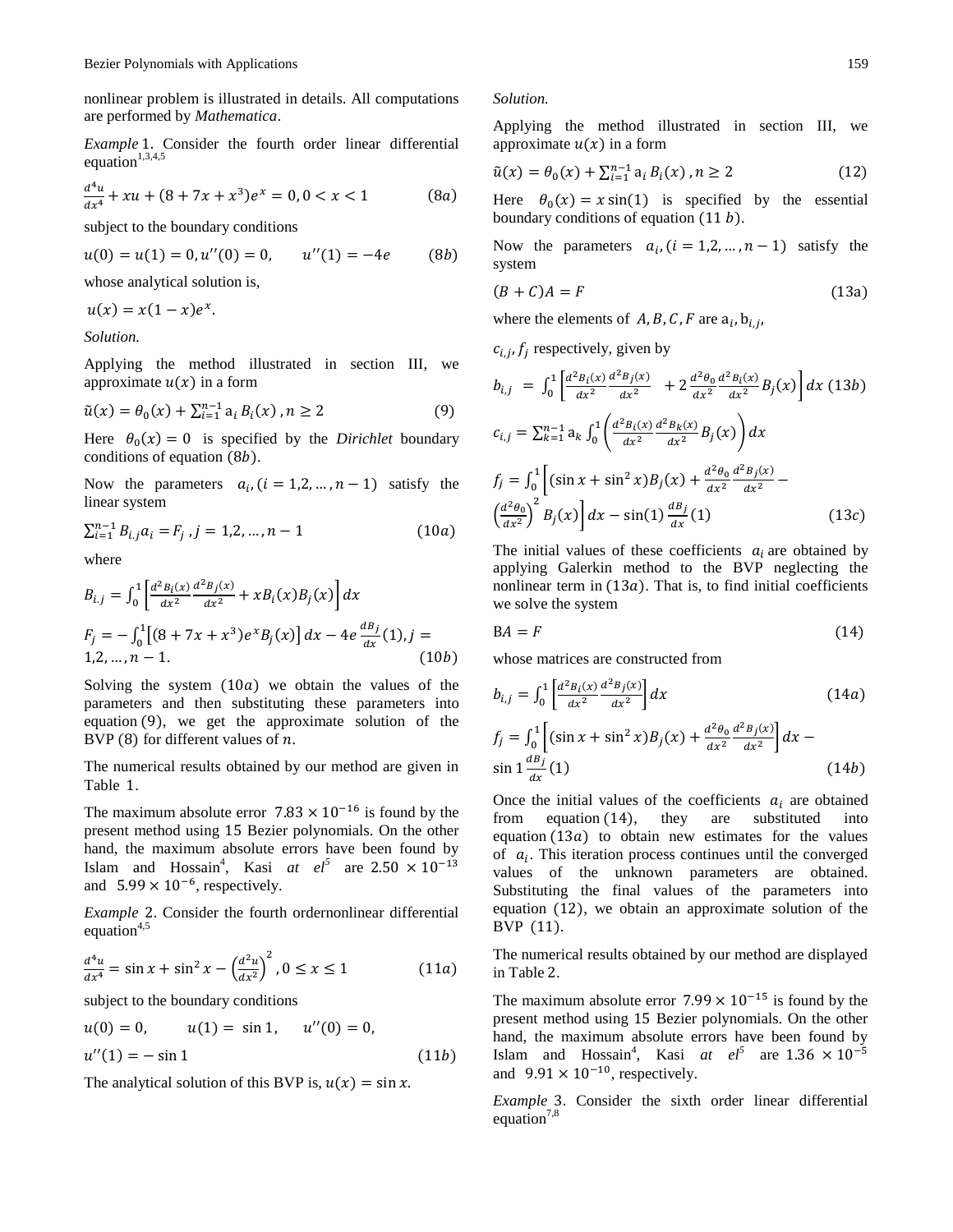nonlinear problem is illustrated in details. All computations are performed by *Mathematica*.

*Example* 1. Consider the fourth order linear differential equation<sup>1,3,4,5</sup>

$$
\frac{d^4u}{dx^4} + xu + (8 + 7x + x^3)e^x = 0, 0 < x < 1 \tag{8a}
$$

subject to the boundary conditions

$$
u(0) = u(1) = 0, u''(0) = 0, \qquad u''(1) = -4e \tag{8b}
$$

whose analytical solution is,

 $u(x) = x(1-x)e^{x}$ .

*Solution.*

Applying the method illustrated in section III, we approximate  $u(x)$  in a form

$$
\tilde{u}(x) = \theta_0(x) + \sum_{i=1}^{n-1} a_i B_i(x), n \ge 2
$$
\n(9)

Here  $\theta_0(x) = 0$  is specified by the *Dirichlet* boundary conditions of equation  $(8b)$ .

Now the parameters  $a_i$ ,  $(i = 1, 2, ..., n - 1)$  satisfy the linear system

$$
\sum_{i=1}^{n-1} B_{i,j} a_i = F_j, j = 1, 2, ..., n-1
$$
 (10*a*)

where

$$
B_{i,j} = \int_0^1 \left[ \frac{d^2 B_i(x)}{dx^2} \frac{d^2 B_j(x)}{dx^2} + x B_i(x) B_j(x) \right] dx
$$
  
\n
$$
F_j = -\int_0^1 \left[ (8 + 7x + x^3) e^x B_j(x) \right] dx - 4e \frac{dB_j}{dx} (1), j = 1, 2, ..., n - 1.
$$
  
\n(10b)

Solving the system  $(10a)$  we obtain the values of the parameters and then substituting these parameters into equation  $(9)$ , we get the approximate solution of the BVP  $(8)$  for different values of  $n$ .

The numerical results obtained by our method are given in Table 1.

The maximum absolute error  $7.83 \times 10^{-16}$  is found by the present method using 15 Bezier polynomials. On the other hand, the maximum absolute errors have been found by Islam and Hossain<sup>4</sup>, Kasi *at el*<sup>5</sup> are 2 and  $5.99 \times 10^{-6}$ , respectively.

*Example* 2. Consider the fourth ordernonlinear differential equation<sup>4,5</sup>

$$
\frac{d^4u}{dx^4} = \sin x + \sin^2 x - \left(\frac{d^2u}{dx^2}\right)^2, 0 \le x \le 1
$$
 (11*a*)

subject to the boundary conditions

$$
u(0) = 0, \t u(1) = \sin 1, \t u''(0) = 0,
$$
  
 
$$
u''(1) = -\sin 1
$$
 (11b)

The analytical solution of this BVP is,  $u(x) = \sin x$ .

### *Solution.*

Applying the method illustrated in section III, we approximate  $u(x)$  in a form

$$
\tilde{u}(x) = \theta_0(x) + \sum_{i=1}^{n-1} a_i B_i(x), n \ge 2
$$
\n(12)

Here  $\theta_0(x) = x \sin(1)$  is specified by the essential boundary conditions of equation  $(11 b)$ .

Now the parameters  $a_i$ ,  $(i = 1, 2, ..., n - 1)$  satisfy the system

$$
(B + C)A = F \tag{13a}
$$

where the elements of  $A, B, C, F$  are  $a_i, b_{i,j}$ ,

$$
c_{i,j}, f_j \text{ respectively, given by}
$$
\n
$$
b_{i,j} = \int_0^1 \left[ \frac{d^2 B_i(x)}{dx^2} \frac{d^2 B_j(x)}{dx^2} + 2 \frac{d^2 \theta_0}{dx^2} \frac{d^2 B_i(x)}{dx^2} B_j(x) \right] dx \quad (13b)
$$
\n
$$
c_{i,j} = \sum_{k=1}^{n-1} a_k \int_0^1 \left( \frac{d^2 B_i(x)}{dx^2} \frac{d^2 B_k(x)}{dx^2} B_j(x) \right) dx
$$
\n
$$
f_j = \int_0^1 \left[ (\sin x + \sin^2 x) B_j(x) + \frac{d^2 \theta_0}{dx^2} \frac{d^2 B_j(x)}{dx^2} - \left( \frac{d^2 \theta_0}{dx^2} \right)^2 B_j(x) \right] dx - \sin(1) \frac{dB_j}{dx} (1) \quad (13c)
$$

The initial values of these coefficients  $a_i$  are obtained by applying Galerkin method to the BVP neglecting the nonlinear term in  $(13a)$ . That is, to find initial coefficients we solve the system

$$
BA = F \tag{14}
$$

whose matrices are constructed from

$$
b_{i,j} = \int_0^1 \left[ \frac{d^2 B_i(x)}{dx^2} \frac{d^2 B_j(x)}{dx^2} \right] dx
$$
 (14*a*)  

$$
f_j = \int_0^1 \left[ (\sin x + \sin^2 x) B_j(x) + \frac{d^2 \theta_0}{dx^2} \frac{d^2 B_j(x)}{dx^2} \right] dx -
$$

$$
\sin 1 \frac{dB_j}{dx} (1) \tag{14b}
$$
\n
$$
\sin \frac{1}{b} \frac{d}{dx} (1) \tag{14b}
$$

Once the initial values of the coefficients  $a_i$  are obtained from equation  $(14)$ , they are substituted into equation  $(13a)$  to obtain new estimates for the values of  $a_i$ . This iteration process continues until the converged values of the unknown parameters are obtained. Substituting the final values of the parameters into equation  $(12)$ , we obtain an approximate solution of the BVP  $(11)$ .

The numerical results obtained by our method are displayed in Table 2.

The maximum absolute error  $7.99 \times 10^{-15}$  is found by the present method using 15 Bezier polynomials. On the other hand, the maximum absolute errors have been found by Islam and Hossain<sup>4</sup>, Kasi at  $el^5$  are 1 and  $9.91 \times 10^{-10}$ , respectively.

*Example* 3. Consider the sixth order linear differential equation<sup>7,8</sup>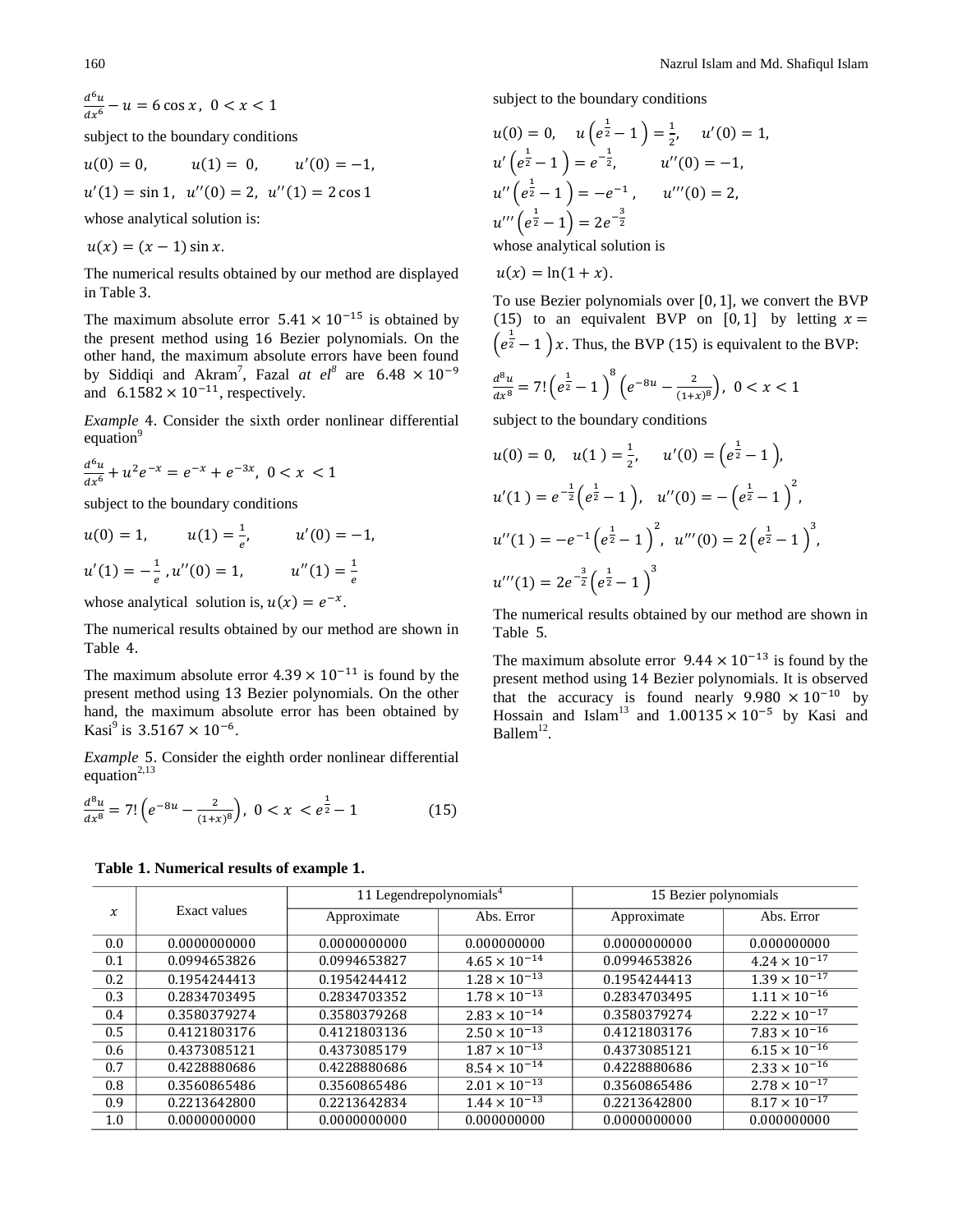$d<sup>6</sup>$ d

subject to the boundary conditions

$$
u(0) = 0,
$$
  $u(1) = 0,$   $u'(0) = -1,$   
\n $u'(1) = \sin 1,$   $u''(0) = 2,$   $u''(1) = 2 \cos 1$ 

whose analytical solution is:

$$
u(x) = (x - 1)\sin x.
$$

The numerical results obtained by our method are displayed in Table 3.

The maximum absolute error  $5.41 \times 10^{-15}$  is obtained by the present method using 16 Bezier polynomials. On the other hand, the maximum absolute errors have been found by Siddiqi and Akram<sup>7</sup>, Fazal at el<sup>8</sup> are 6 and  $6.1582 \times 10^{-11}$ , respectively.

*Example* 4. Consider the sixth order nonlinear differential equation<sup>9</sup>

$$
\frac{d^6u}{dx^6} + u^2e^{-x} = e^{-x} + e^{-3x}, \ 0 < x < 1
$$

subject to the boundary conditions

$$
u(0) = 1, \t u(1) = \frac{1}{e}, \t u'(0) = -1,
$$
  

$$
u'(1) = -\frac{1}{e}, u''(0) = 1, \t u''(1) = \frac{1}{e}
$$

whose analytical solution is,  $u(x) = e^{-x}$ .

The numerical results obtained by our method are shown in Table 4.

The maximum absolute error  $4.39 \times 10^{-11}$  is found by the present method using 13 Bezier polynomials. On the other hand, the maximum absolute error has been obtained by Kasi<sup>9</sup> is  $3.5167 \times 10^{-6}$ .

*Example* 5. Consider the eighth order nonlinear differential equation<sup>2,13</sup>

$$
\frac{d^8u}{dx^8} = 7! \left( e^{-8u} - \frac{2}{(1+x)^8} \right), \ 0 < x < e^{\frac{1}{2}} - 1 \tag{15}
$$

subject to the boundary conditions

$$
u(0) = 0, \quad u\left(e^{\frac{1}{2}} - 1\right) = \frac{1}{2}, \quad u'(0) = 1,
$$
  
\n
$$
u'\left(e^{\frac{1}{2}} - 1\right) = e^{-\frac{1}{2}}, \quad u''(0) = -1,
$$
  
\n
$$
u''\left(e^{\frac{1}{2}} - 1\right) = -e^{-1}, \quad u'''(0) = 2,
$$
  
\n
$$
u'''\left(e^{\frac{1}{2}} - 1\right) = 2e^{-\frac{3}{2}}
$$

whose analytical solution is

$$
u(x) = \ln(1+x).
$$

To use Bezier polynomials over  $[0, 1]$ , we convert the BVP (15) to an equivalent BVP on [0,1] by letting  $x =$  $\left(e^{\frac{1}{2}}-1\right)x$ . Thus, the BVP (15) is equivalent to the BVP:

$$
\frac{d^8u}{dx^8} = 7! \left(e^{\frac{1}{2}} - 1\right)^8 \left(e^{-8u} - \frac{2}{(1+x)^8}\right), \ 0 < x < 1
$$

subject to the boundary conditions

$$
u(0) = 0, \quad u(1) = \frac{1}{2}, \quad u'(0) = \left(e^{\frac{1}{2}} - 1\right),
$$
  
\n
$$
u'(1) = e^{-\frac{1}{2}}\left(e^{\frac{1}{2}} - 1\right), \quad u''(0) = -\left(e^{\frac{1}{2}} - 1\right)^2,
$$
  
\n
$$
u''(1) = -e^{-1}\left(e^{\frac{1}{2}} - 1\right)^2, \quad u'''(0) = 2\left(e^{\frac{1}{2}} - 1\right)^3,
$$
  
\n
$$
u'''(1) = 2e^{-\frac{3}{2}}\left(e^{\frac{1}{2}} - 1\right)^3
$$

The numerical results obtained by our method are shown in Table 5.

The maximum absolute error  $9.44 \times 10^{-13}$  is found by the present method using 14 Bezier polynomials. It is observed that the accuracy is found nearly  $9.980 \times 10^{-10}$  by Hossain and Islam<sup>13</sup> and  $1.00135 \times 10^{-5}$  by Kasi and Ballem<sup>12</sup>.

| $\boldsymbol{\chi}$ | Exact values | 11 Legendrepolynomials <sup>4</sup> |                        | 15 Bezier polynomials |                        |
|---------------------|--------------|-------------------------------------|------------------------|-----------------------|------------------------|
|                     |              | Approximate                         | Abs. Error             | Approximate           | Abs. Error             |
| 0.0                 | 0.0000000000 | 0.0000000000                        | 0.000000000            | 0.0000000000          | 0.000000000            |
| 0.1                 | 0.0994653826 | 0.0994653827                        | $4.65 \times 10^{-14}$ | 0.0994653826          | $4.24 \times 10^{-17}$ |
| 0.2                 | 0.1954244413 | 0.1954244412                        | $1.28 \times 10^{-13}$ | 0.1954244413          | $1.39 \times 10^{-17}$ |
| 0.3                 | 0.2834703495 | 0.2834703352                        | $1.78 \times 10^{-13}$ | 0.2834703495          | $1.11 \times 10^{-16}$ |
| 0.4                 | 0.3580379274 | 0.3580379268                        | $2.83 \times 10^{-14}$ | 0.3580379274          | $2.22 \times 10^{-17}$ |
| 0.5                 | 0.4121803176 | 0.4121803136                        | $2.50 \times 10^{-13}$ | 0.4121803176          | $7.83 \times 10^{-16}$ |
| 0.6                 | 0.4373085121 | 0.4373085179                        | $1.87 \times 10^{-13}$ | 0.4373085121          | $6.15 \times 10^{-16}$ |
| 0.7                 | 0.4228880686 | 0.4228880686                        | $8.54 \times 10^{-14}$ | 0.4228880686          | $2.33 \times 10^{-16}$ |
| 0.8                 | 0.3560865486 | 0.3560865486                        | $2.01 \times 10^{-13}$ | 0.3560865486          | $2.78 \times 10^{-17}$ |
| 0.9                 | 0.2213642800 | 0.2213642834                        | $1.44 \times 10^{-13}$ | 0.2213642800          | $8.17 \times 10^{-17}$ |
| 1.0                 | 0.0000000000 | 0.0000000000                        | 0.000000000            | 0.0000000000          | 0.000000000            |

#### **Table . Numerical results of example .**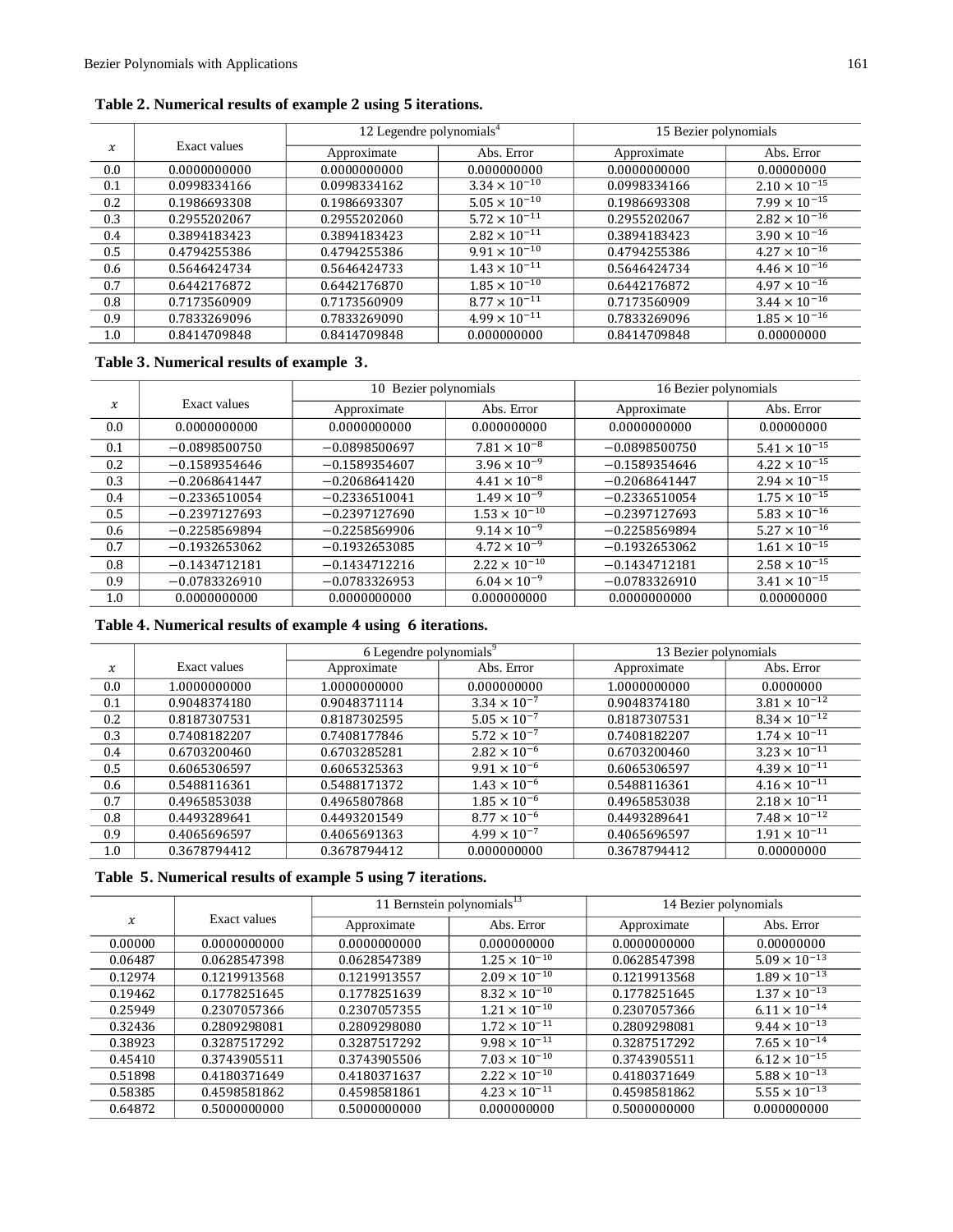|        |              | 12 Legendre polynomials <sup>4</sup> |                        | 15 Bezier polynomials |                        |
|--------|--------------|--------------------------------------|------------------------|-----------------------|------------------------|
| $\chi$ | Exact values | Approximate                          | Abs. Error             | Approximate           | Abs. Error             |
| 0.0    | 0.0000000000 | 0.0000000000                         | 0.000000000            | 0.0000000000          | 0.00000000             |
| 0.1    | 0.0998334166 | 0.0998334162                         | $3.34 \times 10^{-10}$ | 0.0998334166          | $2.10 \times 10^{-15}$ |
| 0.2    | 0.1986693308 | 0.1986693307                         | $5.05 \times 10^{-10}$ | 0.1986693308          | $7.99 \times 10^{-15}$ |
| 0.3    | 0.2955202067 | 0.2955202060                         | $5.72 \times 10^{-11}$ | 0.2955202067          | $2.82 \times 10^{-16}$ |
| 0.4    | 0.3894183423 | 0.3894183423                         | $2.82 \times 10^{-11}$ | 0.3894183423          | $3.90 \times 10^{-16}$ |
| 0.5    | 0.4794255386 | 0.4794255386                         | $9.91 \times 10^{-10}$ | 0.4794255386          | $4.27 \times 10^{-16}$ |
| 0.6    | 0.5646424734 | 0.5646424733                         | $1.43 \times 10^{-11}$ | 0.5646424734          | $4.46 \times 10^{-16}$ |
| 0.7    | 0.6442176872 | 0.6442176870                         | $1.85 \times 10^{-10}$ | 0.6442176872          | $4.97 \times 10^{-16}$ |
| 0.8    | 0.7173560909 | 0.7173560909                         | $8.77 \times 10^{-11}$ | 0.7173560909          | $3.44 \times 10^{-16}$ |
| 0.9    | 0.7833269096 | 0.7833269090                         | $4.99 \times 10^{-11}$ | 0.7833269096          | $1.85 \times 10^{-16}$ |
| 1.0    | 0.8414709848 | 0.8414709848                         | 0.000000000            | 0.8414709848          | 0.00000000             |

# **Table . Numerical results of example using iterations.**

# **Table . Numerical results of example .**

|               |                 | 10 Bezier polynomials |                        | 16 Bezier polynomials |                        |
|---------------|-----------------|-----------------------|------------------------|-----------------------|------------------------|
| $\chi$        | Exact values    | Approximate           | Abs. Error             | Approximate           | Abs. Error             |
| $0.0^{\circ}$ | 0.0000000000    | 0.0000000000          | 0.000000000            | 0.0000000000          | 0.00000000             |
| 0.1           | $-0.0898500750$ | $-0.0898500697$       | $7.81 \times 10^{-8}$  | $-0.0898500750$       | $5.41 \times 10^{-15}$ |
| 0.2           | $-0.1589354646$ | $-0.1589354607$       | $3.96 \times 10^{-9}$  | $-0.1589354646$       | $4.22 \times 10^{-15}$ |
| 0.3           | $-0.2068641447$ | $-0.2068641420$       | $4.41 \times 10^{-8}$  | $-0.2068641447$       | $2.94 \times 10^{-15}$ |
| 0.4           | $-0.2336510054$ | $-0.2336510041$       | $1.49 \times 10^{-9}$  | $-0.2336510054$       | $1.75 \times 10^{-15}$ |
| 0.5           | $-0.2397127693$ | $-0.2397127690$       | $1.53 \times 10^{-10}$ | $-0.2397127693$       | $5.83 \times 10^{-16}$ |
| 0.6           | $-0.2258569894$ | $-0.2258569906$       | $9.14 \times 10^{-9}$  | $-0.2258569894$       | $5.27 \times 10^{-16}$ |
| 0.7           | $-0.1932653062$ | $-0.1932653085$       | $4.72 \times 10^{-9}$  | $-0.1932653062$       | $1.61 \times 10^{-15}$ |
| 0.8           | $-0.1434712181$ | $-0.1434712216$       | $2.22 \times 10^{-10}$ | $-0.1434712181$       | $2.58 \times 10^{-15}$ |
| 0.9           | $-0.0783326910$ | $-0.0783326953$       | $6.04 \times 10^{-9}$  | $-0.0783326910$       | $3.41 \times 10^{-15}$ |
| 1.0           | 0.0000000000    | 0.0000000000          | 0.000000000            | 0.0000000000          | 0.00000000             |

# **Table . Numerical results of example using iterations.**

|        |              | 6 Legendre polynomials <sup>9</sup> |                       | 13 Bezier polynomials |                        |
|--------|--------------|-------------------------------------|-----------------------|-----------------------|------------------------|
| $\chi$ | Exact values | Approximate                         | Abs. Error            | Approximate           | Abs. Error             |
| 0.0    | 1.0000000000 | 1.0000000000                        | 0.000000000           | 1.0000000000          | 0.0000000              |
| 0.1    | 0.9048374180 | 0.9048371114                        | $3.34 \times 10^{-7}$ | 0.9048374180          | $3.81 \times 10^{-12}$ |
| 0.2    | 0.8187307531 | 0.8187302595                        | $5.05 \times 10^{-7}$ | 0.8187307531          | $8.34 \times 10^{-12}$ |
| 0.3    | 0.7408182207 | 0.7408177846                        | $5.72 \times 10^{-7}$ | 0.7408182207          | $1.74 \times 10^{-11}$ |
| 0.4    | 0.6703200460 | 0.6703285281                        | $2.82 \times 10^{-6}$ | 0.6703200460          | $3.23 \times 10^{-11}$ |
| 0.5    | 0.6065306597 | 0.6065325363                        | $9.91 \times 10^{-6}$ | 0.6065306597          | $4.39 \times 10^{-11}$ |
| 0.6    | 0.5488116361 | 0.5488171372                        | $1.43 \times 10^{-6}$ | 0.5488116361          | $4.16 \times 10^{-11}$ |
| 0.7    | 0.4965853038 | 0.4965807868                        | $1.85 \times 10^{-6}$ | 0.4965853038          | $2.18 \times 10^{-11}$ |
| 0.8    | 0.4493289641 | 0.4493201549                        | $8.77 \times 10^{-6}$ | 0.4493289641          | $7.48 \times 10^{-12}$ |
| 0.9    | 0.4065696597 | 0.4065691363                        | $4.99 \times 10^{-7}$ | 0.4065696597          | $1.91 \times 10^{-11}$ |
| 1.0    | 0.3678794412 | 0.3678794412                        | 0.000000000           | 0.3678794412          | 0.00000000             |

# **Table . Numerical results of example using iterations.**

|         |              | 11 Bernstein polynomials $13$ |                        | 14 Bezier polynomials |                        |
|---------|--------------|-------------------------------|------------------------|-----------------------|------------------------|
| $\chi$  | Exact values | Approximate                   | Abs. Error             | Approximate           | Abs. Error             |
| 0.00000 | 0.0000000000 | 0.0000000000                  | 0.000000000            | 0.0000000000          | 0.00000000             |
| 0.06487 | 0.0628547398 | 0.0628547389                  | $1.25 \times 10^{-10}$ | 0.0628547398          | $5.09 \times 10^{-13}$ |
| 0.12974 | 0.1219913568 | 0.1219913557                  | $2.09 \times 10^{-10}$ | 0.1219913568          | $1.89 \times 10^{-13}$ |
| 0.19462 | 0.1778251645 | 0.1778251639                  | $8.32 \times 10^{-10}$ | 0.1778251645          | $1.37 \times 10^{-13}$ |
| 0.25949 | 0.2307057366 | 0.2307057355                  | $1.21 \times 10^{-10}$ | 0.2307057366          | $6.11 \times 10^{-14}$ |
| 0.32436 | 0.2809298081 | 0.2809298080                  | $1.72 \times 10^{-11}$ | 0.2809298081          | $9.44 \times 10^{-13}$ |
| 0.38923 | 0.3287517292 | 0.3287517292                  | $9.98 \times 10^{-11}$ | 0.3287517292          | $7.65 \times 10^{-14}$ |
| 0.45410 | 0.3743905511 | 0.3743905506                  | $7.03 \times 10^{-10}$ | 0.3743905511          | $6.12 \times 10^{-15}$ |
| 0.51898 | 0.4180371649 | 0.4180371637                  | $2.22 \times 10^{-10}$ | 0.4180371649          | $5.88 \times 10^{-13}$ |
| 0.58385 | 0.4598581862 | 0.4598581861                  | $4.23 \times 10^{-11}$ | 0.4598581862          | $5.55 \times 10^{-13}$ |
| 0.64872 | 0.5000000000 | 0.5000000000                  | 0.000000000            | 0.5000000000          | 0.000000000            |